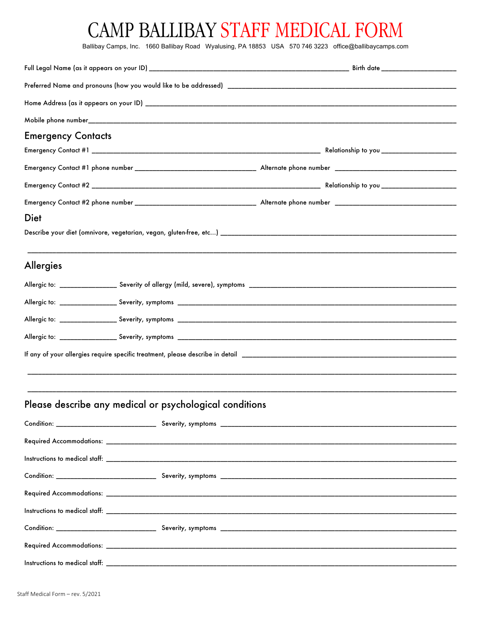## CAMP BALLIBAY STAFF MEDICAL FORM

Ballibay Camps, Inc. 1660 Ballibay Road Wyalusing, PA 18853 USA 570 746 3223 office@ballibaycamps.com

| <b>Emergency Contacts</b>                               |  |  |
|---------------------------------------------------------|--|--|
|                                                         |  |  |
|                                                         |  |  |
|                                                         |  |  |
|                                                         |  |  |
| Diet                                                    |  |  |
|                                                         |  |  |
|                                                         |  |  |
| <b>Allergies</b>                                        |  |  |
|                                                         |  |  |
|                                                         |  |  |
|                                                         |  |  |
|                                                         |  |  |
|                                                         |  |  |
|                                                         |  |  |
|                                                         |  |  |
| Please describe any medical or psychological conditions |  |  |
|                                                         |  |  |
|                                                         |  |  |
|                                                         |  |  |
|                                                         |  |  |
|                                                         |  |  |
|                                                         |  |  |
|                                                         |  |  |
|                                                         |  |  |
|                                                         |  |  |
|                                                         |  |  |